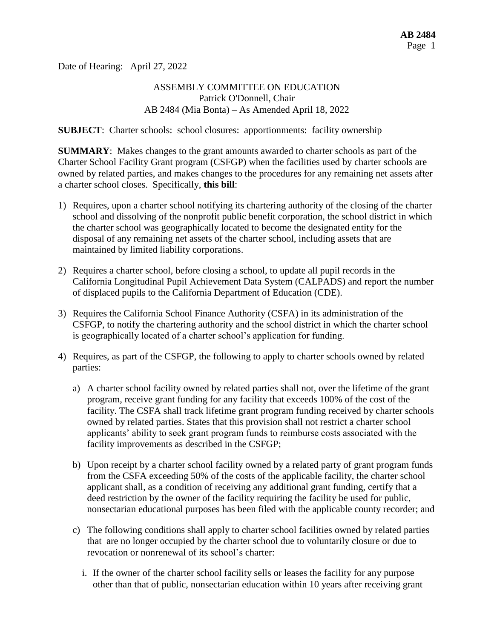Date of Hearing: April 27, 2022

### ASSEMBLY COMMITTEE ON EDUCATION Patrick O'Donnell, Chair AB 2484 (Mia Bonta) – As Amended April 18, 2022

**SUBJECT**: Charter schools: school closures: apportionments: facility ownership

**SUMMARY**: Makes changes to the grant amounts awarded to charter schools as part of the Charter School Facility Grant program (CSFGP) when the facilities used by charter schools are owned by related parties, and makes changes to the procedures for any remaining net assets after a charter school closes. Specifically, **this bill**:

- 1) Requires, upon a charter school notifying its chartering authority of the closing of the charter school and dissolving of the nonprofit public benefit corporation, the school district in which the charter school was geographically located to become the designated entity for the disposal of any remaining net assets of the charter school, including assets that are maintained by limited liability corporations.
- 2) Requires a charter school, before closing a school, to update all pupil records in the California Longitudinal Pupil Achievement Data System (CALPADS) and report the number of displaced pupils to the California Department of Education (CDE).
- 3) Requires the California School Finance Authority (CSFA) in its administration of the CSFGP, to notify the chartering authority and the school district in which the charter school is geographically located of a charter school's application for funding.
- 4) Requires, as part of the CSFGP, the following to apply to charter schools owned by related parties:
	- a) A charter school facility owned by related parties shall not, over the lifetime of the grant program, receive grant funding for any facility that exceeds 100% of the cost of the facility. The CSFA shall track lifetime grant program funding received by charter schools owned by related parties. States that this provision shall not restrict a charter school applicants' ability to seek grant program funds to reimburse costs associated with the facility improvements as described in the CSFGP;
	- b) Upon receipt by a charter school facility owned by a related party of grant program funds from the CSFA exceeding 50% of the costs of the applicable facility, the charter school applicant shall, as a condition of receiving any additional grant funding, certify that a deed restriction by the owner of the facility requiring the facility be used for public, nonsectarian educational purposes has been filed with the applicable county recorder; and
	- c) The following conditions shall apply to charter school facilities owned by related parties that are no longer occupied by the charter school due to voluntarily closure or due to revocation or nonrenewal of its school's charter:
		- i. If the owner of the charter school facility sells or leases the facility for any purpose other than that of public, nonsectarian education within 10 years after receiving grant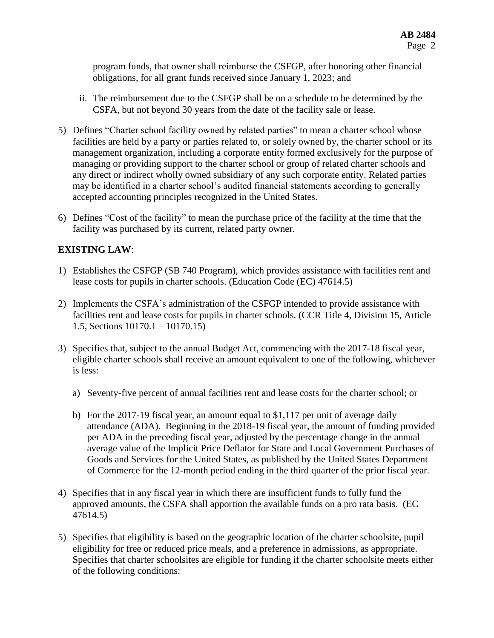program funds, that owner shall reimburse the CSFGP, after honoring other financial obligations, for all grant funds received since January 1, 2023; and

- ii. The reimbursement due to the CSFGP shall be on a schedule to be determined by the CSFA, but not beyond 30 years from the date of the facility sale or lease.
- 5) Defines "Charter school facility owned by related parties" to mean a charter school whose facilities are held by a party or parties related to, or solely owned by, the charter school or its management organization, including a corporate entity formed exclusively for the purpose of managing or providing support to the charter school or group of related charter schools and any direct or indirect wholly owned subsidiary of any such corporate entity. Related parties may be identified in a charter school's audited financial statements according to generally accepted accounting principles recognized in the United States.
- 6) Defines "Cost of the facility" to mean the purchase price of the facility at the time that the facility was purchased by its current, related party owner.

# **EXISTING LAW**:

- 1) Establishes the CSFGP (SB 740 Program), which provides assistance with facilities rent and lease costs for pupils in charter schools. (Education Code (EC) 47614.5)
- 2) Implements the CSFA's administration of the CSFGP intended to provide assistance with facilities rent and lease costs for pupils in charter schools. (CCR Title 4, Division 15, Article 1.5, Sections 10170.1 – 10170.15)
- 3) Specifies that, subject to the annual Budget Act, commencing with the 2017-18 fiscal year, eligible charter schools shall receive an amount equivalent to one of the following, whichever is less:
	- a) Seventy-five percent of annual facilities rent and lease costs for the charter school; or
	- b) For the 2017-19 fiscal year, an amount equal to \$1,117 per unit of average daily attendance (ADA). Beginning in the 2018-19 fiscal year, the amount of funding provided per ADA in the preceding fiscal year, adjusted by the percentage change in the annual average value of the Implicit Price Deflator for State and Local Government Purchases of Goods and Services for the United States, as published by the United States Department of Commerce for the 12-month period ending in the third quarter of the prior fiscal year.
- 4) Specifies that in any fiscal year in which there are insufficient funds to fully fund the approved amounts, the CSFA shall apportion the available funds on a pro rata basis. (EC 47614.5)
- 5) Specifies that eligibility is based on the geographic location of the charter schoolsite, pupil eligibility for free or reduced price meals, and a preference in admissions, as appropriate. Specifies that charter schoolsites are eligible for funding if the charter schoolsite meets either of the following conditions: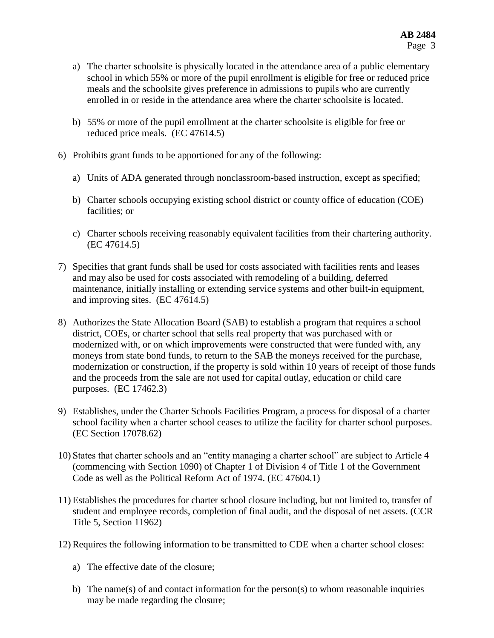- a) The charter schoolsite is physically located in the attendance area of a public elementary school in which 55% or more of the pupil enrollment is eligible for free or reduced price meals and the schoolsite gives preference in admissions to pupils who are currently enrolled in or reside in the attendance area where the charter schoolsite is located.
- b) 55% or more of the pupil enrollment at the charter schoolsite is eligible for free or reduced price meals. (EC 47614.5)
- 6) Prohibits grant funds to be apportioned for any of the following:
	- a) Units of ADA generated through nonclassroom-based instruction, except as specified;
	- b) Charter schools occupying existing school district or county office of education (COE) facilities; or
	- c) Charter schools receiving reasonably equivalent facilities from their chartering authority. (EC 47614.5)
- 7) Specifies that grant funds shall be used for costs associated with facilities rents and leases and may also be used for costs associated with remodeling of a building, deferred maintenance, initially installing or extending service systems and other built-in equipment, and improving sites. (EC 47614.5)
- 8) Authorizes the State Allocation Board (SAB) to establish a program that requires a school district, COEs, or charter school that sells real property that was purchased with or modernized with, or on which improvements were constructed that were funded with, any moneys from state bond funds, to return to the SAB the moneys received for the purchase, modernization or construction, if the property is sold within 10 years of receipt of those funds and the proceeds from the sale are not used for capital outlay, education or child care purposes. (EC 17462.3)
- 9) Establishes, under the Charter Schools Facilities Program, a process for disposal of a charter school facility when a charter school ceases to utilize the facility for charter school purposes. (EC Section 17078.62)
- 10) States that charter schools and an "entity managing a charter school" are subject to Article 4 (commencing with Section 1090) of Chapter 1 of Division 4 of Title 1 of the Government Code as well as the Political Reform Act of 1974. (EC 47604.1)
- 11) Establishes the procedures for charter school closure including, but not limited to, transfer of student and employee records, completion of final audit, and the disposal of net assets. (CCR Title 5, Section 11962)
- 12) Requires the following information to be transmitted to CDE when a charter school closes:
	- a) The effective date of the closure;
	- b) The name(s) of and contact information for the person(s) to whom reasonable inquiries may be made regarding the closure;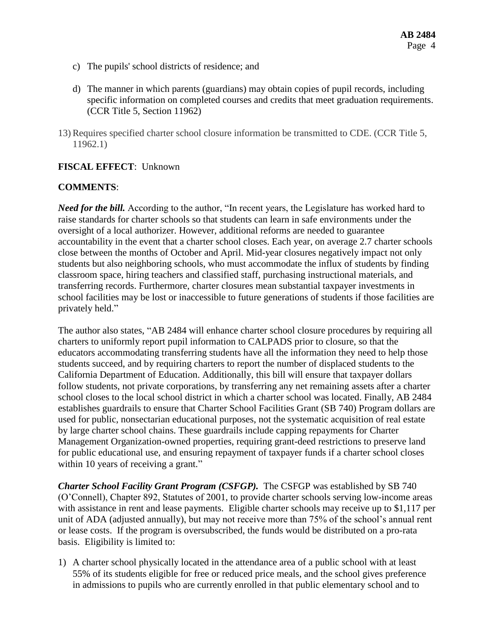- c) The pupils' school districts of residence; and
- d) The manner in which parents (guardians) may obtain copies of pupil records, including specific information on completed courses and credits that meet graduation requirements. (CCR Title 5, Section 11962)
- 13) Requires specified charter school closure information be transmitted to CDE. (CCR Title 5, 11962.1)

### **FISCAL EFFECT**: Unknown

#### **COMMENTS**:

*Need for the bill.* According to the author, "In recent years, the Legislature has worked hard to raise standards for charter schools so that students can learn in safe environments under the oversight of a local authorizer. However, additional reforms are needed to guarantee accountability in the event that a charter school closes. Each year, on average 2.7 charter schools close between the months of October and April. Mid-year closures negatively impact not only students but also neighboring schools, who must accommodate the influx of students by finding classroom space, hiring teachers and classified staff, purchasing instructional materials, and transferring records. Furthermore, charter closures mean substantial taxpayer investments in school facilities may be lost or inaccessible to future generations of students if those facilities are privately held."

The author also states, "AB 2484 will enhance charter school closure procedures by requiring all charters to uniformly report pupil information to CALPADS prior to closure, so that the educators accommodating transferring students have all the information they need to help those students succeed, and by requiring charters to report the number of displaced students to the California Department of Education. Additionally, this bill will ensure that taxpayer dollars follow students, not private corporations, by transferring any net remaining assets after a charter school closes to the local school district in which a charter school was located. Finally, AB 2484 establishes guardrails to ensure that Charter School Facilities Grant (SB 740) Program dollars are used for public, nonsectarian educational purposes, not the systematic acquisition of real estate by large charter school chains. These guardrails include capping repayments for Charter Management Organization-owned properties, requiring grant-deed restrictions to preserve land for public educational use, and ensuring repayment of taxpayer funds if a charter school closes within 10 years of receiving a grant."

*Charter School Facility Grant Program (CSFGP).* The CSFGP was established by SB 740 (O'Connell), Chapter 892, Statutes of 2001, to provide charter schools serving low-income areas with assistance in rent and lease payments. Eligible charter schools may receive up to \$1,117 per unit of ADA (adjusted annually), but may not receive more than 75% of the school's annual rent or lease costs. If the program is oversubscribed, the funds would be distributed on a pro-rata basis. Eligibility is limited to:

1) A charter school physically located in the attendance area of a public school with at least 55% of its students eligible for free or reduced price meals, and the school gives preference in admissions to pupils who are currently enrolled in that public elementary school and to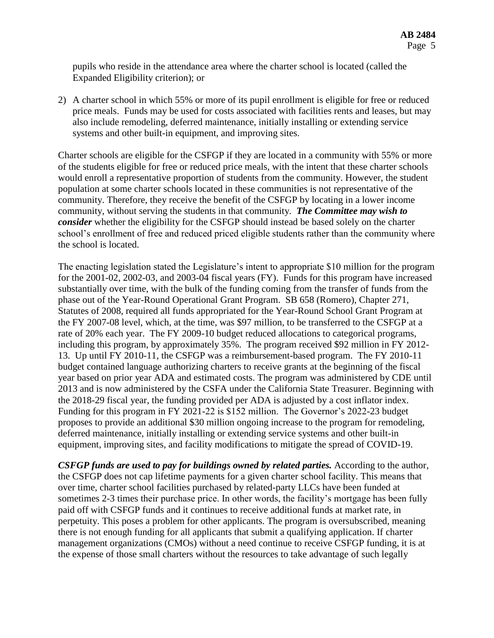pupils who reside in the attendance area where the charter school is located (called the Expanded Eligibility criterion); or

2) A charter school in which 55% or more of its pupil enrollment is eligible for free or reduced price meals. Funds may be used for costs associated with facilities rents and leases, but may also include remodeling, deferred maintenance, initially installing or extending service systems and other built-in equipment, and improving sites.

Charter schools are eligible for the CSFGP if they are located in a community with 55% or more of the students eligible for free or reduced price meals, with the intent that these charter schools would enroll a representative proportion of students from the community. However, the student population at some charter schools located in these communities is not representative of the community. Therefore, they receive the benefit of the CSFGP by locating in a lower income community, without serving the students in that community. *The Committee may wish to consider* whether the eligibility for the CSFGP should instead be based solely on the charter school's enrollment of free and reduced priced eligible students rather than the community where the school is located.

The enacting legislation stated the Legislature's intent to appropriate \$10 million for the program for the 2001-02, 2002-03, and 2003-04 fiscal years (FY). Funds for this program have increased substantially over time, with the bulk of the funding coming from the transfer of funds from the phase out of the Year-Round Operational Grant Program. SB 658 (Romero), Chapter 271, Statutes of 2008, required all funds appropriated for the Year-Round School Grant Program at the FY 2007-08 level, which, at the time, was \$97 million, to be transferred to the CSFGP at a rate of 20% each year. The FY 2009-10 budget reduced allocations to categorical programs, including this program, by approximately 35%. The program received \$92 million in FY 2012- 13. Up until FY 2010-11, the CSFGP was a reimbursement-based program. The FY 2010-11 budget contained language authorizing charters to receive grants at the beginning of the fiscal year based on prior year ADA and estimated costs. The program was administered by CDE until 2013 and is now administered by the CSFA under the California State Treasurer. Beginning with the 2018-29 fiscal year, the funding provided per ADA is adjusted by a cost inflator index. Funding for this program in FY 2021-22 is \$152 million. The Governor's 2022-23 budget proposes to provide an additional \$30 million ongoing increase to the program for remodeling, deferred maintenance, initially installing or extending service systems and other built-in equipment, improving sites, and facility modifications to mitigate the spread of COVID-19.

*CSFGP funds are used to pay for buildings owned by related parties.* According to the author, the CSFGP does not cap lifetime payments for a given charter school facility. This means that over time, charter school facilities purchased by related-party LLCs have been funded at sometimes 2-3 times their purchase price. In other words, the facility's mortgage has been fully paid off with CSFGP funds and it continues to receive additional funds at market rate, in perpetuity. This poses a problem for other applicants. The program is oversubscribed, meaning there is not enough funding for all applicants that submit a qualifying application. If charter management organizations (CMOs) without a need continue to receive CSFGP funding, it is at the expense of those small charters without the resources to take advantage of such legally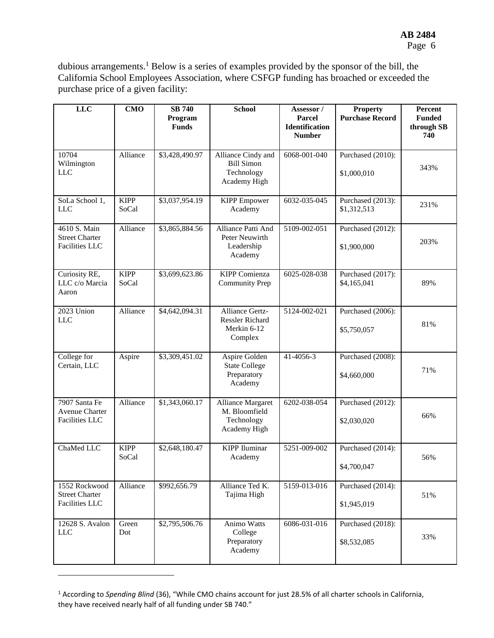dubious arrangements.<sup>1</sup> Below is a series of examples provided by the sponsor of the bill, the California School Employees Association, where CSFGP funding has broached or exceeded the purchase price of a given facility:

| <b>LLC</b>                                                      | <b>CMO</b>           | <b>SB 740</b><br>Program<br><b>Funds</b> | <b>School</b>                                                           | Assessor /<br><b>Parcel</b><br><b>Identification</b><br><b>Number</b> | <b>Property</b><br><b>Purchase Record</b> | Percent<br><b>Funded</b><br>through SB<br>740 |
|-----------------------------------------------------------------|----------------------|------------------------------------------|-------------------------------------------------------------------------|-----------------------------------------------------------------------|-------------------------------------------|-----------------------------------------------|
| 10704<br>Wilmington<br><b>LLC</b>                               | Alliance             | \$3,428,490.97                           | Alliance Cindy and<br><b>Bill Simon</b><br>Technology<br>Academy High   | 6068-001-040                                                          | Purchased (2010):<br>\$1,000,010          | 343%                                          |
| SoLa School 1,<br><b>LLC</b>                                    | <b>KIPP</b><br>SoCal | \$3,037,954.19                           | <b>KIPP</b> Empower<br>Academy                                          | 6032-035-045                                                          | Purchased (2013):<br>\$1,312,513          | 231%                                          |
| 4610 S. Main<br><b>Street Charter</b><br><b>Facilities LLC</b>  | Alliance             | \$3,865,884.56                           | Alliance Patti And<br>Peter Neuwirth<br>Leadership<br>Academy           | 5109-002-051                                                          | Purchased (2012):<br>\$1,900,000          | 203%                                          |
| Curiosity RE,<br>LLC c/o Marcia<br>Aaron                        | <b>KIPP</b><br>SoCal | \$3,699,623.86                           | <b>KIPP</b> Comienza<br><b>Community Prep</b>                           | 6025-028-038                                                          | Purchased (2017):<br>\$4,165,041          | 89%                                           |
| 2023 Union<br><b>LLC</b>                                        | Alliance             | \$4,642,094.31                           | Alliance Gertz-<br><b>Ressler Richard</b><br>Merkin 6-12<br>Complex     | 5124-002-021                                                          | Purchased (2006):<br>\$5,750,057          | 81%                                           |
| College for<br>Certain, LLC                                     | Aspire               | \$3,309,451.02                           | Aspire Golden<br><b>State College</b><br>Preparatory<br>Academy         | 41-4056-3                                                             | Purchased (2008):<br>\$4,660,000          | 71%                                           |
| 7907 Santa Fe<br><b>Avenue Charter</b><br><b>Facilities LLC</b> | Alliance             | \$1,343,060.17                           | <b>Alliance Margaret</b><br>M. Bloomfield<br>Technology<br>Academy High | 6202-038-054                                                          | Purchased (2012):<br>\$2,030,020          | 66%                                           |
| ChaMed LLC                                                      | <b>KIPP</b><br>SoCal | \$2,648,180.47                           | <b>KIPP</b> Iluminar<br>Academy                                         | 5251-009-002                                                          | Purchased (2014):<br>\$4,700,047          | 56%                                           |
| 1552 Rockwood<br><b>Street Charter</b><br><b>Facilities LLC</b> | Alliance             | \$992,656.79                             | Alliance Ted K.<br>Tajima High                                          | 5159-013-016                                                          | Purchased (2014):<br>\$1,945,019          | 51%                                           |
| 12628 S. Avalon<br><b>LLC</b>                                   | Green<br>Dot         | \$2,795,506.76                           | Animo Watts<br>College<br>Preparatory<br>Academy                        | 6086-031-016                                                          | Purchased (2018):<br>\$8,532,085          | 33%                                           |

<sup>&</sup>lt;sup>1</sup> According to *Spending Blind* (36), "While CMO chains account for just 28.5% of all charter schools in California, they have received nearly half of all funding under SB 740."

 $\overline{a}$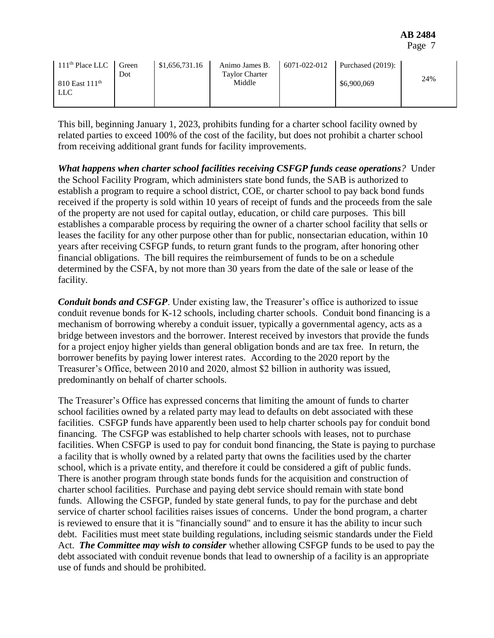| 111 <sup>th</sup> Place LLC | Green | \$1,656,731.16 | Animo James B.        | 6071-022-012 | Purchased (2019): |     |
|-----------------------------|-------|----------------|-----------------------|--------------|-------------------|-----|
|                             | Dot   |                | <b>Taylor Charter</b> |              |                   | 24% |
| $810$ East $111th$          |       |                | Middle                |              | \$6,900,069       |     |
| LLC                         |       |                |                       |              |                   |     |
|                             |       |                |                       |              |                   |     |

This bill, beginning January 1, 2023, prohibits funding for a charter school facility owned by related parties to exceed 100% of the cost of the facility, but does not prohibit a charter school from receiving additional grant funds for facility improvements.

*What happens when charter school facilities receiving CSFGP funds cease operations?* Under the School Facility Program, which administers state bond funds, the SAB is authorized to establish a program to require a school district, COE, or charter school to pay back bond funds received if the property is sold within 10 years of receipt of funds and the proceeds from the sale of the property are not used for capital outlay, education, or child care purposes. This bill establishes a comparable process by requiring the owner of a charter school facility that sells or leases the facility for any other purpose other than for public, nonsectarian education, within 10 years after receiving CSFGP funds, to return grant funds to the program, after honoring other financial obligations. The bill requires the reimbursement of funds to be on a schedule determined by the CSFA, by not more than 30 years from the date of the sale or lease of the facility.

*Conduit bonds and CSFGP*. Under existing law, the Treasurer's office is authorized to issue conduit revenue bonds for K-12 schools, including charter schools. Conduit bond financing is a mechanism of borrowing whereby a conduit issuer, typically a governmental agency, acts as a bridge between investors and the borrower. Interest received by investors that provide the funds for a project enjoy higher yields than general obligation bonds and are tax free. In return, the borrower benefits by paying lower interest rates. According to the 2020 report by the Treasurer's Office, between 2010 and 2020, almost \$2 billion in authority was issued, predominantly on behalf of charter schools.

The Treasurer's Office has expressed concerns that limiting the amount of funds to charter school facilities owned by a related party may lead to defaults on debt associated with these facilities. CSFGP funds have apparently been used to help charter schools pay for conduit bond financing. The CSFGP was established to help charter schools with leases, not to purchase facilities. When CSFGP is used to pay for conduit bond financing, the State is paying to purchase a facility that is wholly owned by a related party that owns the facilities used by the charter school, which is a private entity, and therefore it could be considered a gift of public funds. There is another program through state bonds funds for the acquisition and construction of charter school facilities. Purchase and paying debt service should remain with state bond funds. Allowing the CSFGP, funded by state general funds, to pay for the purchase and debt service of charter school facilities raises issues of concerns. Under the bond program, a charter is reviewed to ensure that it is "financially sound" and to ensure it has the ability to incur such debt. Facilities must meet state building regulations, including seismic standards under the Field Act. *The Committee may wish to consider* whether allowing CSFGP funds to be used to pay the debt associated with conduit revenue bonds that lead to ownership of a facility is an appropriate use of funds and should be prohibited.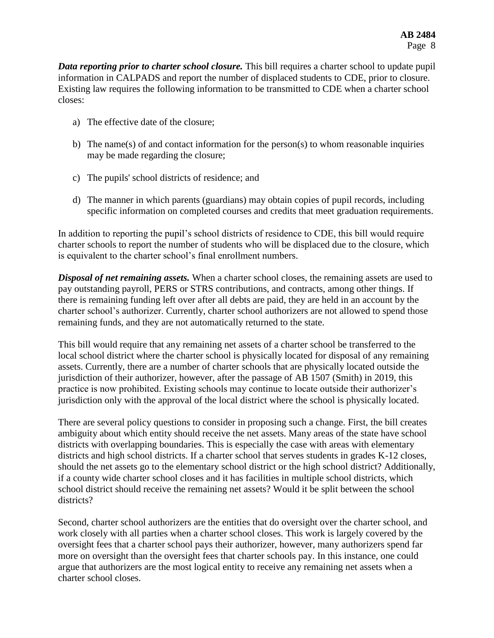*Data reporting prior to charter school closure.* This bill requires a charter school to update pupil information in CALPADS and report the number of displaced students to CDE, prior to closure. Existing law requires the following information to be transmitted to CDE when a charter school closes:

- a) The effective date of the closure;
- b) The name(s) of and contact information for the person(s) to whom reasonable inquiries may be made regarding the closure;
- c) The pupils' school districts of residence; and
- d) The manner in which parents (guardians) may obtain copies of pupil records, including specific information on completed courses and credits that meet graduation requirements.

In addition to reporting the pupil's school districts of residence to CDE, this bill would require charter schools to report the number of students who will be displaced due to the closure, which is equivalent to the charter school's final enrollment numbers.

*Disposal of net remaining assets.* When a charter school closes, the remaining assets are used to pay outstanding payroll, PERS or STRS contributions, and contracts, among other things. If there is remaining funding left over after all debts are paid, they are held in an account by the charter school's authorizer. Currently, charter school authorizers are not allowed to spend those remaining funds, and they are not automatically returned to the state.

This bill would require that any remaining net assets of a charter school be transferred to the local school district where the charter school is physically located for disposal of any remaining assets. Currently, there are a number of charter schools that are physically located outside the jurisdiction of their authorizer, however, after the passage of AB 1507 (Smith) in 2019, this practice is now prohibited. Existing schools may continue to locate outside their authorizer's jurisdiction only with the approval of the local district where the school is physically located.

There are several policy questions to consider in proposing such a change. First, the bill creates ambiguity about which entity should receive the net assets. Many areas of the state have school districts with overlapping boundaries. This is especially the case with areas with elementary districts and high school districts. If a charter school that serves students in grades K-12 closes, should the net assets go to the elementary school district or the high school district? Additionally, if a county wide charter school closes and it has facilities in multiple school districts, which school district should receive the remaining net assets? Would it be split between the school districts?

Second, charter school authorizers are the entities that do oversight over the charter school, and work closely with all parties when a charter school closes. This work is largely covered by the oversight fees that a charter school pays their authorizer, however, many authorizers spend far more on oversight than the oversight fees that charter schools pay. In this instance, one could argue that authorizers are the most logical entity to receive any remaining net assets when a charter school closes.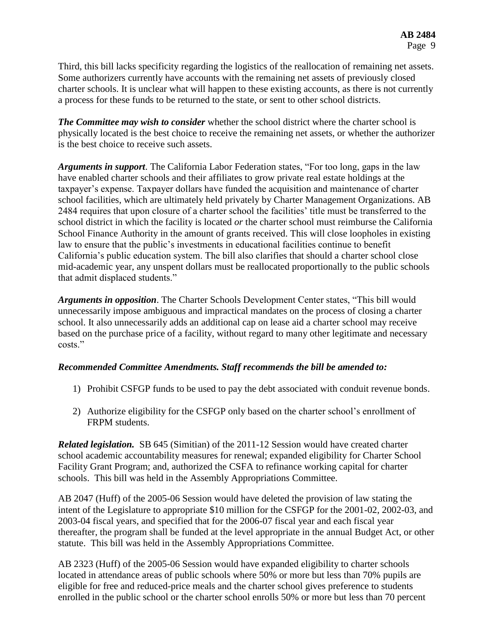Third, this bill lacks specificity regarding the logistics of the reallocation of remaining net assets. Some authorizers currently have accounts with the remaining net assets of previously closed charter schools. It is unclear what will happen to these existing accounts, as there is not currently a process for these funds to be returned to the state, or sent to other school districts.

*The Committee may wish to consider* whether the school district where the charter school is physically located is the best choice to receive the remaining net assets, or whether the authorizer is the best choice to receive such assets.

*Arguments in support*. The California Labor Federation states, "For too long, gaps in the law have enabled charter schools and their affiliates to grow private real estate holdings at the taxpayer's expense. Taxpayer dollars have funded the acquisition and maintenance of charter school facilities, which are ultimately held privately by Charter Management Organizations. AB 2484 requires that upon closure of a charter school the facilities' title must be transferred to the school district in which the facility is located *or* the charter school must reimburse the California School Finance Authority in the amount of grants received. This will close loopholes in existing law to ensure that the public's investments in educational facilities continue to benefit California's public education system. The bill also clarifies that should a charter school close mid-academic year, any unspent dollars must be reallocated proportionally to the public schools that admit displaced students."

*Arguments in opposition*. The Charter Schools Development Center states, "This bill would unnecessarily impose ambiguous and impractical mandates on the process of closing a charter school. It also unnecessarily adds an additional cap on lease aid a charter school may receive based on the purchase price of a facility, without regard to many other legitimate and necessary costs."

### *Recommended Committee Amendments. Staff recommends the bill be amended to:*

- 1) Prohibit CSFGP funds to be used to pay the debt associated with conduit revenue bonds.
- 2) Authorize eligibility for the CSFGP only based on the charter school's enrollment of FRPM students.

*Related legislation.* SB 645 (Simitian) of the 2011-12 Session would have created charter school academic accountability measures for renewal; expanded eligibility for Charter School Facility Grant Program; and, authorized the CSFA to refinance working capital for charter schools. This bill was held in the Assembly Appropriations Committee.

AB 2047 (Huff) of the 2005-06 Session would have deleted the provision of law stating the intent of the Legislature to appropriate \$10 million for the CSFGP for the 2001-02, 2002-03, and 2003-04 fiscal years, and specified that for the 2006-07 fiscal year and each fiscal year thereafter, the program shall be funded at the level appropriate in the annual Budget Act, or other statute. This bill was held in the Assembly Appropriations Committee.

AB 2323 (Huff) of the 2005-06 Session would have expanded eligibility to charter schools located in attendance areas of public schools where 50% or more but less than 70% pupils are eligible for free and reduced-price meals and the charter school gives preference to students enrolled in the public school or the charter school enrolls 50% or more but less than 70 percent